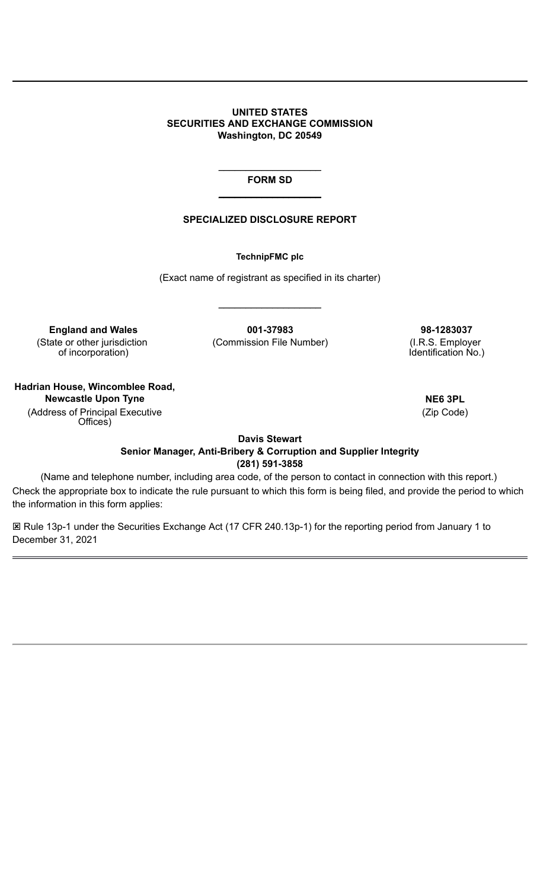**UNITED STATES SECURITIES AND EXCHANGE COMMISSION Washington, DC 20549**

> $\overline{\phantom{a}}$  , where  $\overline{\phantom{a}}$ **FORM SD**  $\overline{\phantom{a}}$  , where  $\overline{\phantom{a}}$

#### **SPECIALIZED DISCLOSURE REPORT**

**TechnipFMC plc**

(Exact name of registrant as specified in its charter)

**England and Wales 001-37983 98-1283037** (State or other jurisdiction of incorporation)

(Commission File Number) (I.R.S. Employer

 $\_$ 

Identification No.)

**Hadrian House, Wincomblee Road, Newcastle Upon Tyne NE6 3PL** (Address of Principal Executive Offices)

(Zip Code)

**Davis Stewart Senior Manager, Anti-Bribery & Corruption and Supplier Integrity (281) 591-3858**

(Name and telephone number, including area code, of the person to contact in connection with this report.) Check the appropriate box to indicate the rule pursuant to which this form is being filed, and provide the period to which the information in this form applies:

**E Rule 13p-1 under the Securities Exchange Act (17 CFR 240.13p-1) for the reporting period from January 1 to** December 31, 2021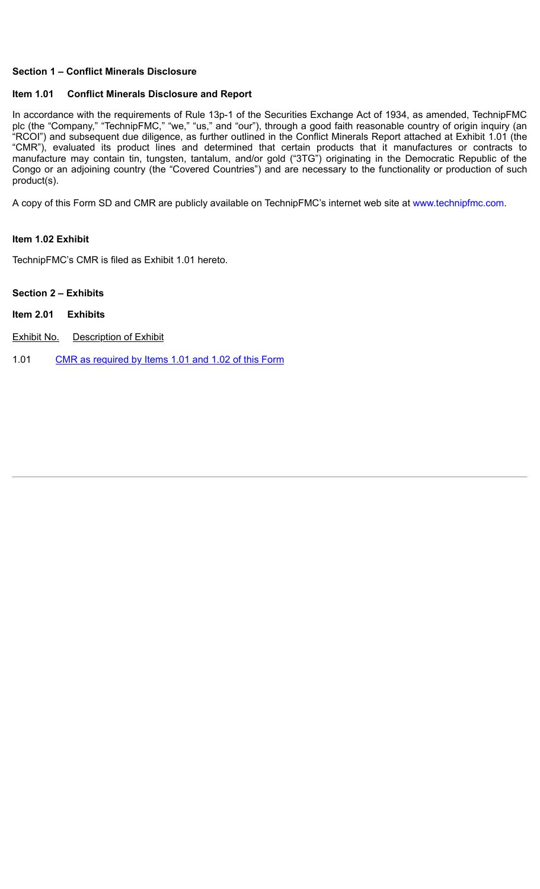### **Section 1 – Conflict Minerals Disclosure**

#### **Item 1.01 Conflict Minerals Disclosure and Report**

In accordance with the requirements of Rule 13p-1 of the Securities Exchange Act of 1934, as amended, TechnipFMC plc (the "Company," "TechnipFMC," "we," "us," and "our"), through a good faith reasonable country of origin inquiry (an "RCOI") and subsequent due diligence, as further outlined in the Conflict Minerals Report attached at Exhibit 1.01 (the "CMR"), evaluated its product lines and determined that certain products that it manufactures or contracts to manufacture may contain tin, tungsten, tantalum, and/or gold ("3TG") originating in the Democratic Republic of the Congo or an adjoining country (the "Covered Countries") and are necessary to the functionality or production of such product(s).

A copy of this Form SD and CMR are publicly available on TechnipFMC's internet web site at www.technipfmc.com.

#### **Item 1.02 Exhibit**

TechnipFMC's CMR is filed as Exhibit 1.01 hereto.

## **Section 2 – Exhibits**

- **Item 2.01 Exhibits**
- **Exhibit No.** Description of Exhibit

1.01 CMR as [required](file:///home/filing/1681459/000168145922000049/a2022-05x25xformsdxexxonly.htm) by Items 1.01 and 1.02 of this Form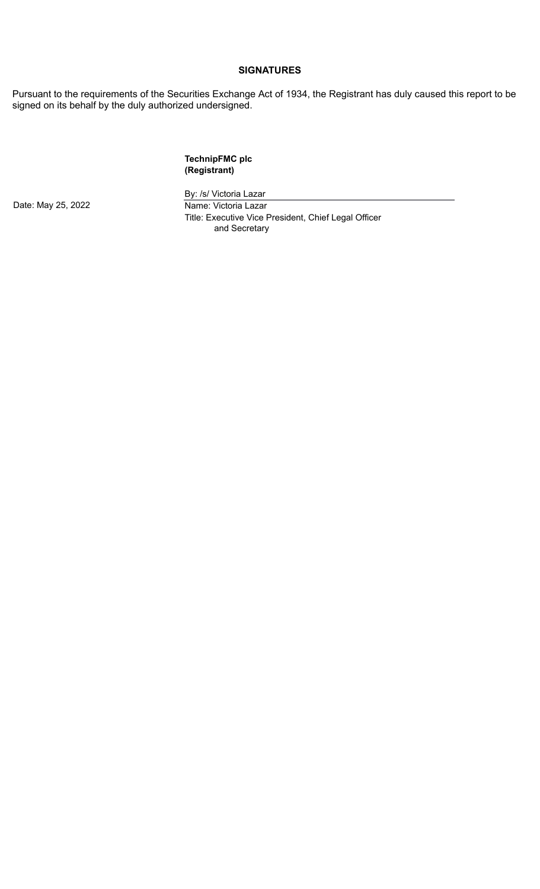#### **SIGNATURES**

Pursuant to the requirements of the Securities Exchange Act of 1934, the Registrant has duly caused this report to be signed on its behalf by the duly authorized undersigned.

### **TechnipFMC plc (Registrant)**

Date: May 25, 2022 **Name: Victoria Lazar** 

By: /s/ Victoria Lazar

Title: Executive Vice President, Chief Legal Officer and Secretary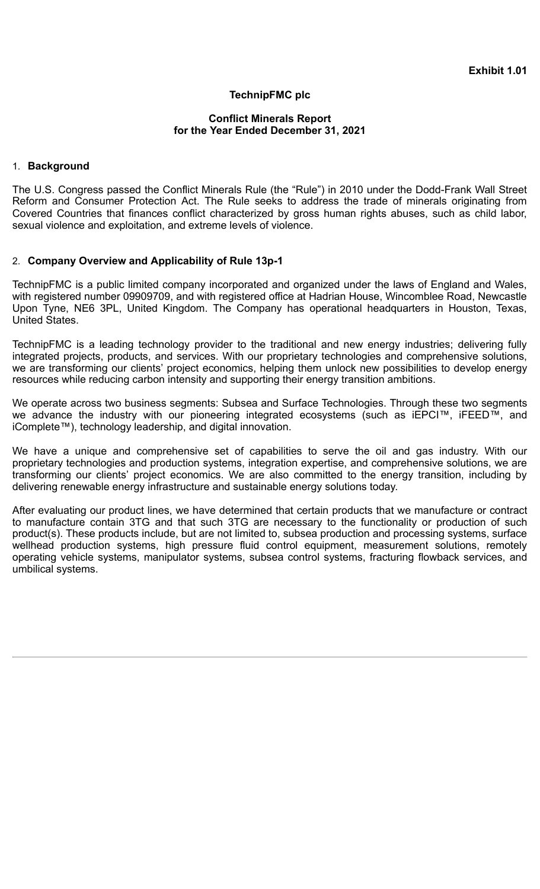## **TechnipFMC plc**

### **Conflict Minerals Report for the Year Ended December 31, 2021**

## 1. **Background**

The U.S. Congress passed the Conflict Minerals Rule (the "Rule") in 2010 under the Dodd-Frank Wall Street Reform and Consumer Protection Act. The Rule seeks to address the trade of minerals originating from Covered Countries that finances conflict characterized by gross human rights abuses, such as child labor, sexual violence and exploitation, and extreme levels of violence.

### 2. **Company Overview and Applicability of Rule 13p-1**

TechnipFMC is a public limited company incorporated and organized under the laws of England and Wales, with registered number 09909709, and with registered office at Hadrian House, Wincomblee Road, Newcastle Upon Tyne, NE6 3PL, United Kingdom. The Company has operational headquarters in Houston, Texas, United States.

TechnipFMC is a leading technology provider to the traditional and new energy industries; delivering fully integrated projects, products, and services. With our proprietary technologies and comprehensive solutions, we are transforming our clients' project economics, helping them unlock new possibilities to develop energy resources while reducing carbon intensity and supporting their energy transition ambitions.

We operate across two business segments: Subsea and Surface Technologies. Through these two segments we advance the industry with our pioneering integrated ecosystems (such as iEPCI™, iFEED™, and iComplete™), technology leadership, and digital innovation.

We have a unique and comprehensive set of capabilities to serve the oil and gas industry. With our proprietary technologies and production systems, integration expertise, and comprehensive solutions, we are transforming our clients' project economics. We are also committed to the energy transition, including by delivering renewable energy infrastructure and sustainable energy solutions today.

After evaluating our product lines, we have determined that certain products that we manufacture or contract to manufacture contain 3TG and that such 3TG are necessary to the functionality or production of such product(s). These products include, but are not limited to, subsea production and processing systems, surface wellhead production systems, high pressure fluid control equipment, measurement solutions, remotely operating vehicle systems, manipulator systems, subsea control systems, fracturing flowback services, and umbilical systems.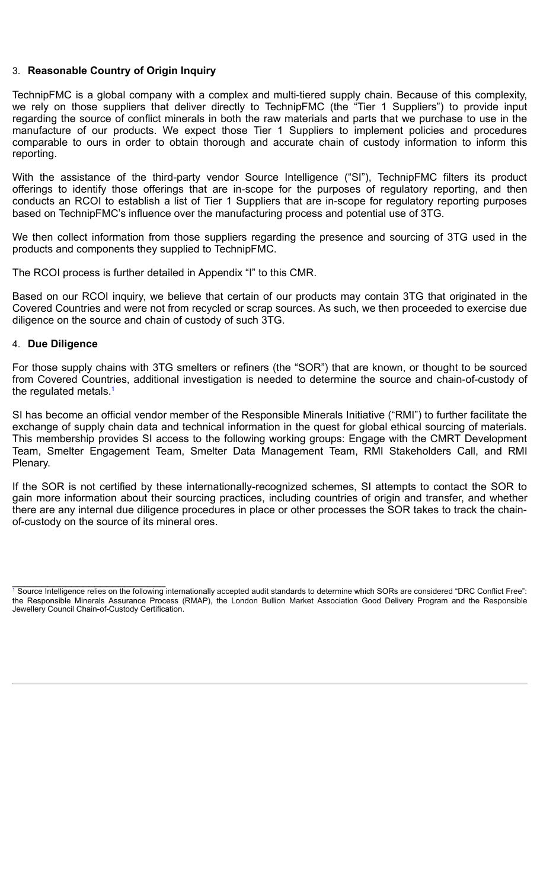## 3. **Reasonable Country of Origin Inquiry**

TechnipFMC is a global company with a complex and multi-tiered supply chain. Because of this complexity, we rely on those suppliers that deliver directly to TechnipFMC (the "Tier 1 Suppliers") to provide input regarding the source of conflict minerals in both the raw materials and parts that we purchase to use in the manufacture of our products. We expect those Tier 1 Suppliers to implement policies and procedures comparable to ours in order to obtain thorough and accurate chain of custody information to inform this reporting.

With the assistance of the third-party vendor Source Intelligence ("SI"), TechnipFMC filters its product offerings to identify those offerings that are in-scope for the purposes of regulatory reporting, and then conducts an RCOI to establish a list of Tier 1 Suppliers that are in-scope for regulatory reporting purposes based on TechnipFMC's influence over the manufacturing process and potential use of 3TG.

We then collect information from those suppliers regarding the presence and sourcing of 3TG used in the products and components they supplied to TechnipFMC.

The RCOI process is further detailed in Appendix "I" to this CMR.

Based on our RCOI inquiry, we believe that certain of our products may contain 3TG that originated in the Covered Countries and were not from recycled or scrap sources. As such, we then proceeded to exercise due diligence on the source and chain of custody of such 3TG.

#### 4. **Due Diligence**

For those supply chains with 3TG smelters or refiners (the "SOR") that are known, or thought to be sourced from Covered Countries, additional investigation is needed to determine the source and chain-of-custody of the regulated metals. 1

SI has become an official vendor member of the Responsible Minerals Initiative ("RMI") to further facilitate the exchange of supply chain data and technical information in the quest for global ethical sourcing of materials. This membership provides SI access to the following working groups: Engage with the CMRT Development Team, Smelter Engagement Team, Smelter Data Management Team, RMI Stakeholders Call, and RMI Plenary.

If the SOR is not certified by these internationally-recognized schemes, SI attempts to contact the SOR to gain more information about their sourcing practices, including countries of origin and transfer, and whether there are any internal due diligence procedures in place or other processes the SOR takes to track the chainof-custody on the source of its mineral ores.

 $\mathcal{L}_\text{max}$  , and the set of the set of the set of the set of the set of the set of the set of the set of the set of the set of the set of the set of the set of the set of the set of the set of the set of the set of the <sup>1</sup> Source Intelligence relies on the following internationally accepted audit standards to determine which SORs are considered "DRC Conflict Free": the Responsible Minerals Assurance Process (RMAP), the London Bullion Market Association Good Delivery Program and the Responsible Jewellery Council Chain-of-Custody Certification.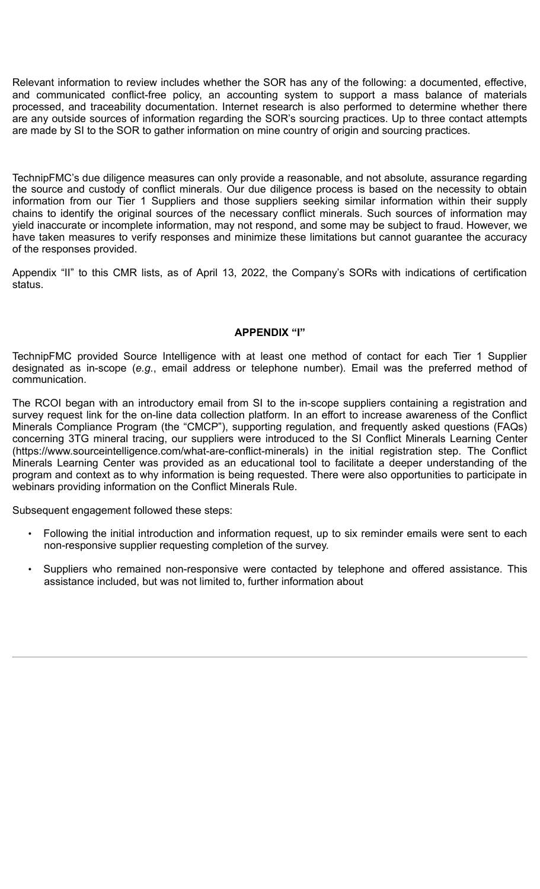Relevant information to review includes whether the SOR has any of the following: a documented, effective, and communicated conflict-free policy, an accounting system to support a mass balance of materials processed, and traceability documentation. Internet research is also performed to determine whether there are any outside sources of information regarding the SOR's sourcing practices. Up to three contact attempts are made by SI to the SOR to gather information on mine country of origin and sourcing practices.

TechnipFMC's due diligence measures can only provide a reasonable, and not absolute, assurance regarding the source and custody of conflict minerals. Our due diligence process is based on the necessity to obtain information from our Tier 1 Suppliers and those suppliers seeking similar information within their supply chains to identify the original sources of the necessary conflict minerals. Such sources of information may yield inaccurate or incomplete information, may not respond, and some may be subject to fraud. However, we have taken measures to verify responses and minimize these limitations but cannot guarantee the accuracy of the responses provided.

Appendix "II" to this CMR lists, as of April 13, 2022, the Company's SORs with indications of certification status.

## **APPENDIX "I"**

TechnipFMC provided Source Intelligence with at least one method of contact for each Tier 1 Supplier designated as in-scope (*e.g.*, email address or telephone number). Email was the preferred method of communication.

The RCOI began with an introductory email from SI to the in-scope suppliers containing a registration and survey request link for the on-line data collection platform. In an effort to increase awareness of the Conflict Minerals Compliance Program (the "CMCP"), supporting regulation, and frequently asked questions (FAQs) concerning 3TG mineral tracing, our suppliers were introduced to the SI Conflict Minerals Learning Center (https://www.sourceintelligence.com/what-are-conflict-minerals) in the initial registration step. The Conflict Minerals Learning Center was provided as an educational tool to facilitate a deeper understanding of the program and context as to why information is being requested. There were also opportunities to participate in webinars providing information on the Conflict Minerals Rule.

Subsequent engagement followed these steps:

- Following the initial introduction and information request, up to six reminder emails were sent to each non-responsive supplier requesting completion of the survey.
- Suppliers who remained non-responsive were contacted by telephone and offered assistance. This assistance included, but was not limited to, further information about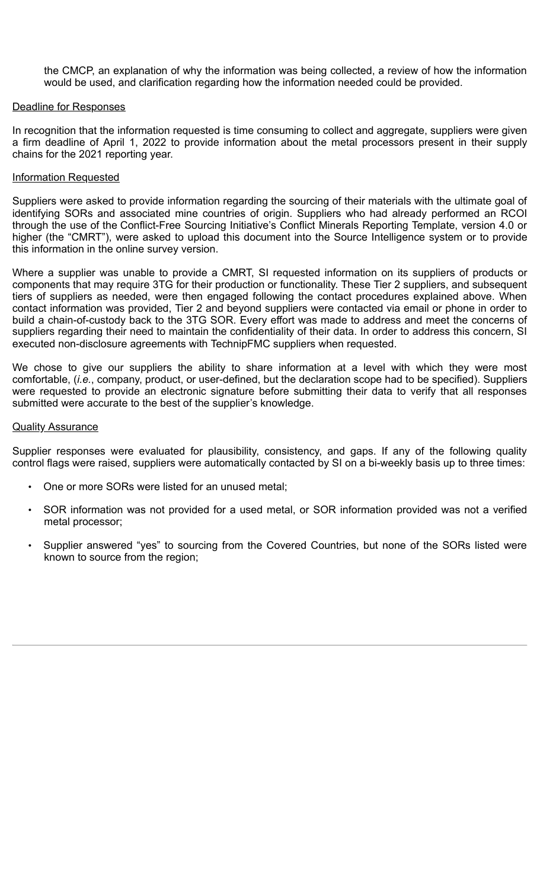the CMCP, an explanation of why the information was being collected, a review of how the information would be used, and clarification regarding how the information needed could be provided.

## Deadline for Responses

In recognition that the information requested is time consuming to collect and aggregate, suppliers were given a firm deadline of April 1, 2022 to provide information about the metal processors present in their supply chains for the 2021 reporting year.

## Information Requested

Suppliers were asked to provide information regarding the sourcing of their materials with the ultimate goal of identifying SORs and associated mine countries of origin. Suppliers who had already performed an RCOI through the use of the Conflict-Free Sourcing Initiative's Conflict Minerals Reporting Template, version 4.0 or higher (the "CMRT"), were asked to upload this document into the Source Intelligence system or to provide this information in the online survey version.

Where a supplier was unable to provide a CMRT, SI requested information on its suppliers of products or components that may require 3TG for their production or functionality. These Tier 2 suppliers, and subsequent tiers of suppliers as needed, were then engaged following the contact procedures explained above. When contact information was provided, Tier 2 and beyond suppliers were contacted via email or phone in order to build a chain-of-custody back to the 3TG SOR. Every effort was made to address and meet the concerns of suppliers regarding their need to maintain the confidentiality of their data. In order to address this concern, SI executed non-disclosure agreements with TechnipFMC suppliers when requested.

We chose to give our suppliers the ability to share information at a level with which they were most comfortable, (*i.e.*, company, product, or user-defined, but the declaration scope had to be specified). Suppliers were requested to provide an electronic signature before submitting their data to verify that all responses submitted were accurate to the best of the supplier's knowledge.

### Quality Assurance

Supplier responses were evaluated for plausibility, consistency, and gaps. If any of the following quality control flags were raised, suppliers were automatically contacted by SI on a bi-weekly basis up to three times:

- One or more SORs were listed for an unused metal;
- SOR information was not provided for a used metal, or SOR information provided was not a verified metal processor;
- Supplier answered "yes" to sourcing from the Covered Countries, but none of the SORs listed were known to source from the region;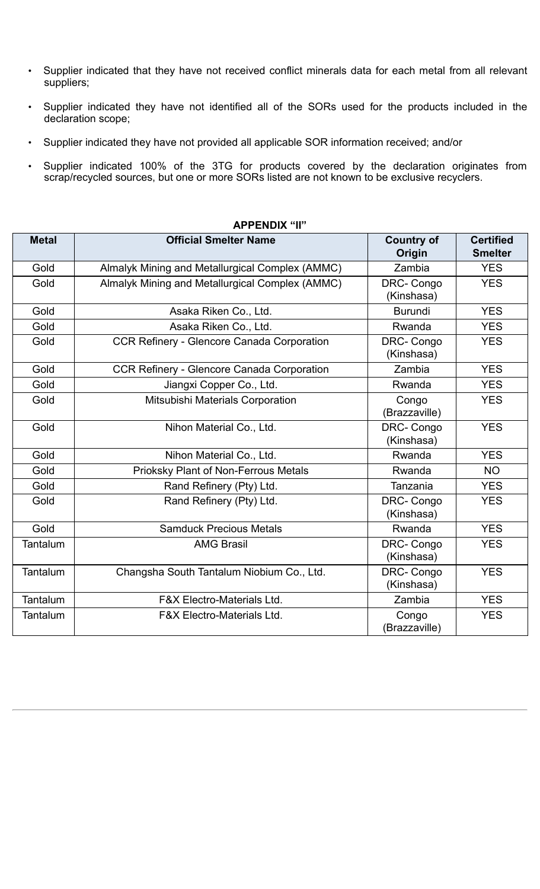- Supplier indicated that they have not received conflict minerals data for each metal from all relevant suppliers;
- Supplier indicated they have not identified all of the SORs used for the products included in the declaration scope;
- Supplier indicated they have not provided all applicable SOR information received; and/or
- Supplier indicated 100% of the 3TG for products covered by the declaration originates from scrap/recycled sources, but one or more SORs listed are not known to be exclusive recyclers.

| AFFLIYDIA II    |                                                   |                                |                                    |
|-----------------|---------------------------------------------------|--------------------------------|------------------------------------|
| <b>Metal</b>    | <b>Official Smelter Name</b>                      | <b>Country of</b><br>Origin    | <b>Certified</b><br><b>Smelter</b> |
| Gold            | Almalyk Mining and Metallurgical Complex (AMMC)   | Zambia                         | <b>YES</b>                         |
| Gold            | Almalyk Mining and Metallurgical Complex (AMMC)   | DRC-Congo<br>(Kinshasa)        | <b>YES</b>                         |
| Gold            | Asaka Riken Co., Ltd.                             | <b>Burundi</b>                 | <b>YES</b>                         |
| Gold            | Asaka Riken Co., Ltd.                             | Rwanda                         | <b>YES</b>                         |
| Gold            | <b>CCR Refinery - Glencore Canada Corporation</b> | <b>DRC-Congo</b><br>(Kinshasa) | <b>YES</b>                         |
| Gold            | <b>CCR Refinery - Glencore Canada Corporation</b> | Zambia                         | <b>YES</b>                         |
| Gold            | Jiangxi Copper Co., Ltd.                          | Rwanda                         | <b>YES</b>                         |
| Gold            | Mitsubishi Materials Corporation                  | Congo<br>(Brazzaville)         | <b>YES</b>                         |
| Gold            | Nihon Material Co., Ltd.                          | DRC-Congo<br>(Kinshasa)        | <b>YES</b>                         |
| Gold            | Nihon Material Co., Ltd.                          | Rwanda                         | <b>YES</b>                         |
| Gold            | <b>Prioksky Plant of Non-Ferrous Metals</b>       | Rwanda                         | <b>NO</b>                          |
| Gold            | Rand Refinery (Pty) Ltd.                          | Tanzania                       | <b>YES</b>                         |
| Gold            | Rand Refinery (Pty) Ltd.                          | DRC-Congo<br>(Kinshasa)        | <b>YES</b>                         |
| Gold            | <b>Samduck Precious Metals</b>                    | Rwanda                         | <b>YES</b>                         |
| Tantalum        | <b>AMG Brasil</b>                                 | DRC-Congo<br>(Kinshasa)        | <b>YES</b>                         |
| <b>Tantalum</b> | Changsha South Tantalum Niobium Co., Ltd.         | DRC-Congo<br>(Kinshasa)        | <b>YES</b>                         |
| Tantalum        | <b>F&amp;X Electro-Materials Ltd.</b>             | Zambia                         | <b>YES</b>                         |
| Tantalum        | <b>F&amp;X Electro-Materials Ltd.</b>             | Congo<br>(Brazzaville)         | <b>YES</b>                         |

# **APPENDIX "II"**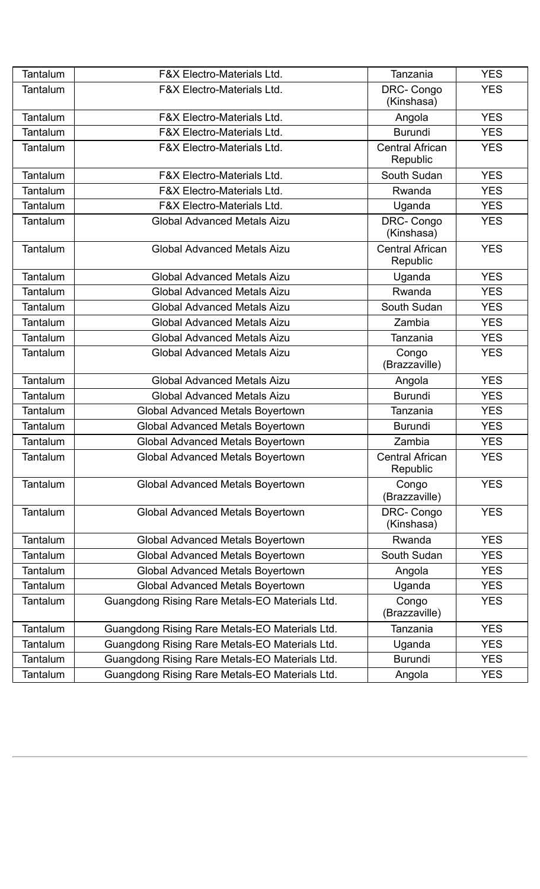| <b>Tantalum</b> | <b>F&amp;X Electro-Materials Ltd.</b>          | Tanzania                           | <b>YES</b> |
|-----------------|------------------------------------------------|------------------------------------|------------|
| Tantalum        | <b>F&amp;X Electro-Materials Ltd.</b>          | DRC-Congo<br>(Kinshasa)            | <b>YES</b> |
| Tantalum        | <b>F&amp;X Electro-Materials Ltd.</b>          | Angola                             | <b>YES</b> |
| Tantalum        | <b>F&amp;X Electro-Materials Ltd.</b>          | <b>Burundi</b>                     | <b>YES</b> |
| Tantalum        | <b>F&amp;X Electro-Materials Ltd.</b>          | <b>Central African</b><br>Republic | <b>YES</b> |
| Tantalum        | <b>F&amp;X Electro-Materials Ltd.</b>          | South Sudan                        | <b>YES</b> |
| Tantalum        | <b>F&amp;X Electro-Materials Ltd.</b>          | Rwanda                             | <b>YES</b> |
| Tantalum        | <b>F&amp;X Electro-Materials Ltd.</b>          | Uganda                             | <b>YES</b> |
| Tantalum        | <b>Global Advanced Metals Aizu</b>             | DRC-Congo<br>(Kinshasa)            | <b>YES</b> |
| Tantalum        | <b>Global Advanced Metals Aizu</b>             | <b>Central African</b><br>Republic | <b>YES</b> |
| Tantalum        | <b>Global Advanced Metals Aizu</b>             | Uganda                             | <b>YES</b> |
| Tantalum        | <b>Global Advanced Metals Aizu</b>             | Rwanda                             | <b>YES</b> |
| Tantalum        | <b>Global Advanced Metals Aizu</b>             | South Sudan                        | <b>YES</b> |
| Tantalum        | <b>Global Advanced Metals Aizu</b>             | Zambia                             | <b>YES</b> |
| Tantalum        | <b>Global Advanced Metals Aizu</b>             | Tanzania                           | <b>YES</b> |
| Tantalum        | <b>Global Advanced Metals Aizu</b>             | Congo<br>(Brazzaville)             | <b>YES</b> |
| Tantalum        | <b>Global Advanced Metals Aizu</b>             | Angola                             | <b>YES</b> |
| Tantalum        | <b>Global Advanced Metals Aizu</b>             | <b>Burundi</b>                     | <b>YES</b> |
| Tantalum        | <b>Global Advanced Metals Boyertown</b>        | Tanzania                           | <b>YES</b> |
| Tantalum        | <b>Global Advanced Metals Boyertown</b>        | <b>Burundi</b>                     | <b>YES</b> |
| Tantalum        | <b>Global Advanced Metals Boyertown</b>        | Zambia                             | <b>YES</b> |
| Tantalum        | <b>Global Advanced Metals Boyertown</b>        | <b>Central African</b><br>Republic | <b>YES</b> |
| Tantalum        | <b>Global Advanced Metals Boyertown</b>        | Congo<br>(Brazzaville)             | <b>YES</b> |
| Tantalum        | <b>Global Advanced Metals Boyertown</b>        | DRC-Congo<br>(Kinshasa)            | <b>YES</b> |
| Tantalum        | <b>Global Advanced Metals Boyertown</b>        | Rwanda                             | <b>YES</b> |
| Tantalum        | <b>Global Advanced Metals Boyertown</b>        | South Sudan                        | <b>YES</b> |
| Tantalum        | <b>Global Advanced Metals Boyertown</b>        | Angola                             | <b>YES</b> |
| Tantalum        | <b>Global Advanced Metals Boyertown</b>        | Uganda                             | <b>YES</b> |
| Tantalum        | Guangdong Rising Rare Metals-EO Materials Ltd. | Congo<br>(Brazzaville)             | <b>YES</b> |
| Tantalum        | Guangdong Rising Rare Metals-EO Materials Ltd. | Tanzania                           | <b>YES</b> |
| Tantalum        | Guangdong Rising Rare Metals-EO Materials Ltd. | Uganda                             | <b>YES</b> |
| Tantalum        | Guangdong Rising Rare Metals-EO Materials Ltd. | Burundi                            | <b>YES</b> |
| Tantalum        | Guangdong Rising Rare Metals-EO Materials Ltd. | Angola                             | <b>YES</b> |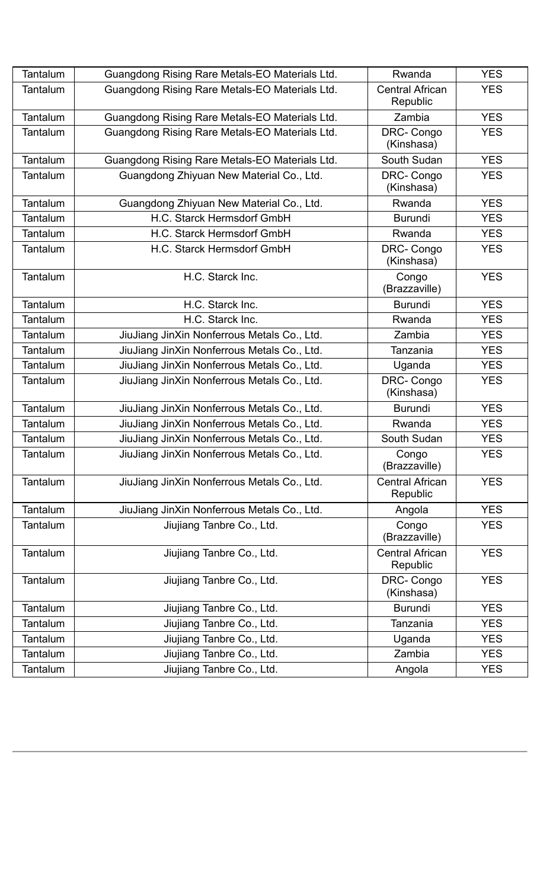| Tantalum        | Guangdong Rising Rare Metals-EO Materials Ltd. | Rwanda                             | <b>YES</b> |
|-----------------|------------------------------------------------|------------------------------------|------------|
| Tantalum        | Guangdong Rising Rare Metals-EO Materials Ltd. | <b>Central African</b><br>Republic | <b>YES</b> |
| Tantalum        | Guangdong Rising Rare Metals-EO Materials Ltd. | Zambia                             | <b>YES</b> |
| Tantalum        | Guangdong Rising Rare Metals-EO Materials Ltd. | DRC-Congo<br>(Kinshasa)            | <b>YES</b> |
| Tantalum        | Guangdong Rising Rare Metals-EO Materials Ltd. | South Sudan                        | <b>YES</b> |
| Tantalum        | Guangdong Zhiyuan New Material Co., Ltd.       | DRC-Congo<br>(Kinshasa)            | <b>YES</b> |
| Tantalum        | Guangdong Zhiyuan New Material Co., Ltd.       | Rwanda                             | <b>YES</b> |
| Tantalum        | H.C. Starck Hermsdorf GmbH                     | <b>Burundi</b>                     | <b>YES</b> |
| Tantalum        | H.C. Starck Hermsdorf GmbH                     | Rwanda                             | <b>YES</b> |
| Tantalum        | H.C. Starck Hermsdorf GmbH                     | DRC-Congo<br>(Kinshasa)            | <b>YES</b> |
| <b>Tantalum</b> | H.C. Starck Inc.                               | Congo<br>(Brazzaville)             | <b>YES</b> |
| Tantalum        | H.C. Starck Inc.                               | Burundi                            | <b>YES</b> |
| Tantalum        | H.C. Starck Inc.                               | Rwanda                             | <b>YES</b> |
| Tantalum        | JiuJiang JinXin Nonferrous Metals Co., Ltd.    | Zambia                             | <b>YES</b> |
| Tantalum        | JiuJiang JinXin Nonferrous Metals Co., Ltd.    | Tanzania                           | <b>YES</b> |
| <b>Tantalum</b> | JiuJiang JinXin Nonferrous Metals Co., Ltd.    | Uganda                             | <b>YES</b> |
| Tantalum        | JiuJiang JinXin Nonferrous Metals Co., Ltd.    | DRC-Congo<br>(Kinshasa)            | <b>YES</b> |
| Tantalum        | JiuJiang JinXin Nonferrous Metals Co., Ltd.    | <b>Burundi</b>                     | <b>YES</b> |
| Tantalum        | JiuJiang JinXin Nonferrous Metals Co., Ltd.    | Rwanda                             | <b>YES</b> |
| Tantalum        | JiuJiang JinXin Nonferrous Metals Co., Ltd.    | South Sudan                        | <b>YES</b> |
| Tantalum        | JiuJiang JinXin Nonferrous Metals Co., Ltd.    | Congo<br>(Brazzaville)             | <b>YES</b> |
| Tantalum        | JiuJiang JinXin Nonferrous Metals Co., Ltd.    | <b>Central African</b><br>Republic | <b>YES</b> |
| Tantalum        | JiuJiang JinXin Nonferrous Metals Co., Ltd.    | Angola                             | <b>YES</b> |
| Tantalum        | Jiujiang Tanbre Co., Ltd.                      | Congo<br>(Brazzaville)             | <b>YES</b> |
| Tantalum        | Jiujiang Tanbre Co., Ltd.                      | <b>Central African</b><br>Republic | <b>YES</b> |
| Tantalum        | Jiujiang Tanbre Co., Ltd.                      | DRC-Congo<br>(Kinshasa)            | <b>YES</b> |
| Tantalum        | Jiujiang Tanbre Co., Ltd.                      | <b>Burundi</b>                     | <b>YES</b> |
| Tantalum        | Jiujiang Tanbre Co., Ltd.                      | Tanzania                           | <b>YES</b> |
| Tantalum        | Jiujiang Tanbre Co., Ltd.                      | Uganda                             | <b>YES</b> |
| Tantalum        | Jiujiang Tanbre Co., Ltd.                      | Zambia                             | <b>YES</b> |
| Tantalum        | Jiujiang Tanbre Co., Ltd.                      | Angola                             | <b>YES</b> |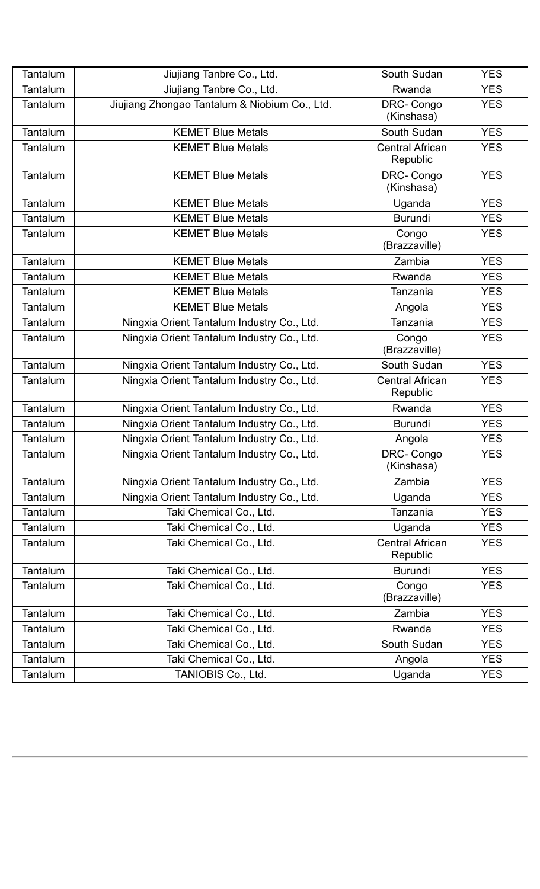| Tantalum        | Jiujiang Tanbre Co., Ltd.                     | South Sudan                        | <b>YES</b> |
|-----------------|-----------------------------------------------|------------------------------------|------------|
| Tantalum        | Jiujiang Tanbre Co., Ltd.                     | Rwanda                             | <b>YES</b> |
| Tantalum        | Jiujiang Zhongao Tantalum & Niobium Co., Ltd. | DRC-Congo<br>(Kinshasa)            | <b>YES</b> |
| <b>Tantalum</b> | <b>KEMET Blue Metals</b>                      | South Sudan                        | <b>YES</b> |
| Tantalum        | <b>KEMET Blue Metals</b>                      | <b>Central African</b><br>Republic | <b>YES</b> |
| Tantalum        | <b>KEMET Blue Metals</b>                      | DRC-Congo<br>(Kinshasa)            | <b>YES</b> |
| Tantalum        | <b>KEMET Blue Metals</b>                      | Uganda                             | <b>YES</b> |
| Tantalum        | <b>KEMET Blue Metals</b>                      | <b>Burundi</b>                     | <b>YES</b> |
| Tantalum        | <b>KEMET Blue Metals</b>                      | Congo<br>(Brazzaville)             | <b>YES</b> |
| Tantalum        | <b>KEMET Blue Metals</b>                      | Zambia                             | <b>YES</b> |
| Tantalum        | <b>KEMET Blue Metals</b>                      | Rwanda                             | <b>YES</b> |
| Tantalum        | <b>KEMET Blue Metals</b>                      | Tanzania                           | <b>YES</b> |
| Tantalum        | <b>KEMET Blue Metals</b>                      | Angola                             | <b>YES</b> |
| Tantalum        | Ningxia Orient Tantalum Industry Co., Ltd.    | Tanzania                           | <b>YES</b> |
| Tantalum        | Ningxia Orient Tantalum Industry Co., Ltd.    | Congo<br>(Brazzaville)             | <b>YES</b> |
| Tantalum        | Ningxia Orient Tantalum Industry Co., Ltd.    | South Sudan                        | <b>YES</b> |
| Tantalum        | Ningxia Orient Tantalum Industry Co., Ltd.    | <b>Central African</b><br>Republic | <b>YES</b> |
| Tantalum        | Ningxia Orient Tantalum Industry Co., Ltd.    | Rwanda                             | <b>YES</b> |
| Tantalum        | Ningxia Orient Tantalum Industry Co., Ltd.    | <b>Burundi</b>                     | <b>YES</b> |
| Tantalum        | Ningxia Orient Tantalum Industry Co., Ltd.    | Angola                             | <b>YES</b> |
| Tantalum        | Ningxia Orient Tantalum Industry Co., Ltd.    | DRC-Congo<br>(Kinshasa)            | <b>YES</b> |
| Tantalum        | Ningxia Orient Tantalum Industry Co., Ltd.    | Zambia                             | <b>YES</b> |
| Tantalum        | Ningxia Orient Tantalum Industry Co., Ltd.    | Uganda                             | <b>YES</b> |
| Tantalum        | Taki Chemical Co., Ltd.                       | Tanzania                           | <b>YES</b> |
| Tantalum        | Taki Chemical Co., Ltd.                       | Uganda                             | <b>YES</b> |
| Tantalum        | Taki Chemical Co., Ltd.                       | <b>Central African</b><br>Republic | <b>YES</b> |
| Tantalum        | Taki Chemical Co., Ltd.                       | <b>Burundi</b>                     | <b>YES</b> |
| Tantalum        | Taki Chemical Co., Ltd.                       | Congo<br>(Brazzaville)             | <b>YES</b> |
| Tantalum        | Taki Chemical Co., Ltd.                       | Zambia                             | <b>YES</b> |
| Tantalum        | Taki Chemical Co., Ltd.                       | Rwanda                             | <b>YES</b> |
| Tantalum        | Taki Chemical Co., Ltd.                       | South Sudan                        | <b>YES</b> |
| Tantalum        | Taki Chemical Co., Ltd.                       | Angola                             | <b>YES</b> |
| Tantalum        | TANIOBIS Co., Ltd.                            | Uganda                             | <b>YES</b> |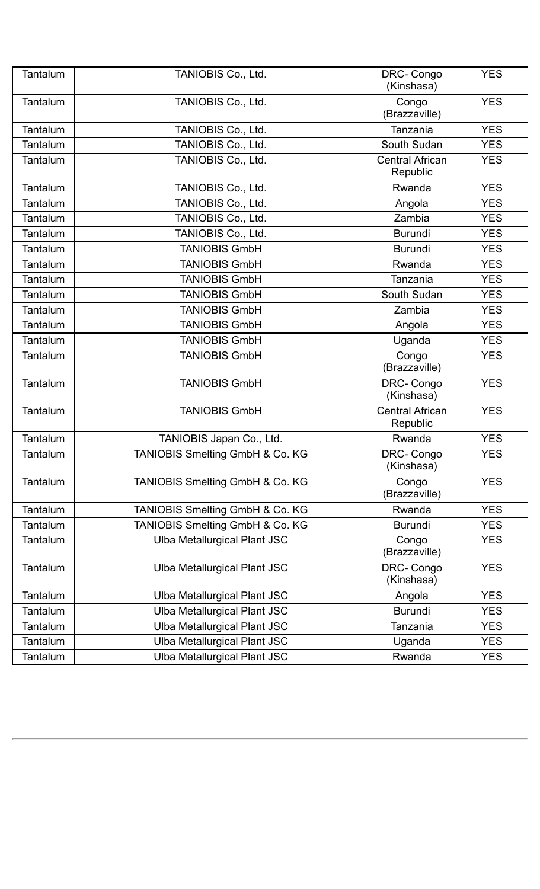| Tantalum        | TANIOBIS Co., Ltd.                  | DRC-Congo<br>(Kinshasa)            | <b>YES</b> |
|-----------------|-------------------------------------|------------------------------------|------------|
| Tantalum        | TANIOBIS Co., Ltd.                  | Congo<br>(Brazzaville)             | <b>YES</b> |
| Tantalum        | TANIOBIS Co., Ltd.                  | Tanzania                           | <b>YES</b> |
| Tantalum        | TANIOBIS Co., Ltd.                  | South Sudan                        | <b>YES</b> |
| Tantalum        | TANIOBIS Co., Ltd.                  | <b>Central African</b><br>Republic | <b>YES</b> |
| Tantalum        | TANIOBIS Co., Ltd.                  | Rwanda                             | <b>YES</b> |
| Tantalum        | TANIOBIS Co., Ltd.                  | Angola                             | <b>YES</b> |
| Tantalum        | TANIOBIS Co., Ltd.                  | Zambia                             | <b>YES</b> |
| Tantalum        | TANIOBIS Co., Ltd.                  | <b>Burundi</b>                     | <b>YES</b> |
| Tantalum        | <b>TANIOBIS GmbH</b>                | <b>Burundi</b>                     | <b>YES</b> |
| Tantalum        | <b>TANIOBIS GmbH</b>                | Rwanda                             | <b>YES</b> |
| Tantalum        | <b>TANIOBIS GmbH</b>                | Tanzania                           | <b>YES</b> |
| <b>Tantalum</b> | <b>TANIOBIS GmbH</b>                | South Sudan                        | <b>YES</b> |
| Tantalum        | <b>TANIOBIS GmbH</b>                | Zambia                             | <b>YES</b> |
| Tantalum        | <b>TANIOBIS GmbH</b>                | Angola                             | <b>YES</b> |
| Tantalum        | <b>TANIOBIS GmbH</b>                | Uganda                             | <b>YES</b> |
| Tantalum        | <b>TANIOBIS GmbH</b>                | Congo<br>(Brazzaville)             | <b>YES</b> |
| Tantalum        | <b>TANIOBIS GmbH</b>                | DRC-Congo<br>(Kinshasa)            | <b>YES</b> |
| Tantalum        | <b>TANIOBIS GmbH</b>                | <b>Central African</b><br>Republic | <b>YES</b> |
| Tantalum        | TANIOBIS Japan Co., Ltd.            | Rwanda                             | <b>YES</b> |
| Tantalum        | TANIOBIS Smelting GmbH & Co. KG     | DRC-Congo<br>(Kinshasa)            | <b>YES</b> |
| Tantalum        | TANIOBIS Smelting GmbH & Co. KG     | Congo<br>(Brazzaville)             | <b>YES</b> |
| Tantalum        | TANIOBIS Smelting GmbH & Co. KG     | Rwanda                             | <b>YES</b> |
| Tantalum        | TANIOBIS Smelting GmbH & Co. KG     | <b>Burundi</b>                     | <b>YES</b> |
| Tantalum        | <b>Ulba Metallurgical Plant JSC</b> | Congo<br>(Brazzaville)             | <b>YES</b> |
| Tantalum        | Ulba Metallurgical Plant JSC        | DRC-Congo<br>(Kinshasa)            | <b>YES</b> |
| Tantalum        | <b>Ulba Metallurgical Plant JSC</b> | Angola                             | <b>YES</b> |
| Tantalum        | Ulba Metallurgical Plant JSC        | <b>Burundi</b>                     | <b>YES</b> |
| Tantalum        | <b>Ulba Metallurgical Plant JSC</b> | Tanzania                           | <b>YES</b> |
| Tantalum        | <b>Ulba Metallurgical Plant JSC</b> | Uganda                             | <b>YES</b> |
| Tantalum        | <b>Ulba Metallurgical Plant JSC</b> | Rwanda                             | <b>YES</b> |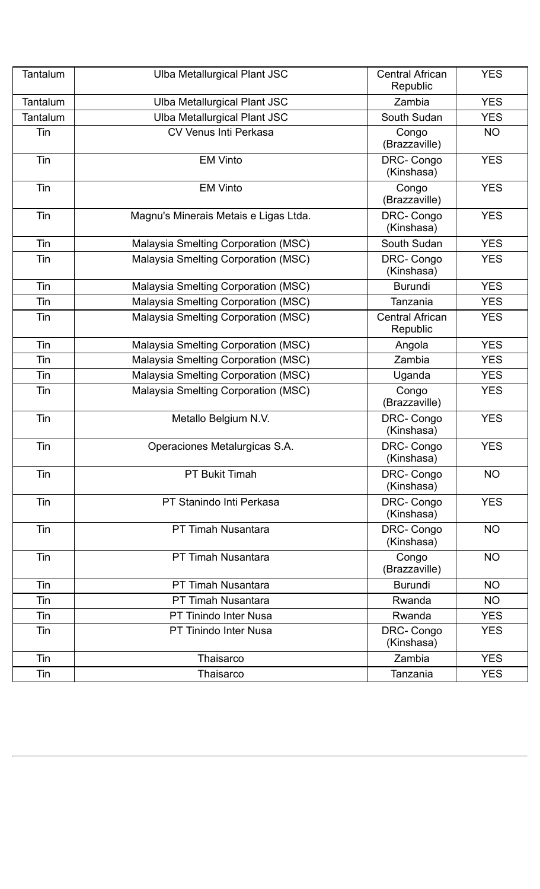| Tantalum | <b>Ulba Metallurgical Plant JSC</b>   | <b>Central African</b><br>Republic | <b>YES</b> |
|----------|---------------------------------------|------------------------------------|------------|
| Tantalum | Ulba Metallurgical Plant JSC          | Zambia                             | <b>YES</b> |
| Tantalum | Ulba Metallurgical Plant JSC          | South Sudan                        | <b>YES</b> |
| Tin      | <b>CV Venus Inti Perkasa</b>          | Congo<br>(Brazzaville)             | <b>NO</b>  |
| Tin      | <b>EM Vinto</b>                       | DRC-Congo<br>(Kinshasa)            | <b>YES</b> |
| Tin      | <b>EM Vinto</b>                       | Congo<br>(Brazzaville)             | <b>YES</b> |
| Tin      | Magnu's Minerais Metais e Ligas Ltda. | DRC-Congo<br>(Kinshasa)            | <b>YES</b> |
| Tin      | Malaysia Smelting Corporation (MSC)   | South Sudan                        | <b>YES</b> |
| Tin      | Malaysia Smelting Corporation (MSC)   | DRC-Congo<br>(Kinshasa)            | <b>YES</b> |
| Tin      | Malaysia Smelting Corporation (MSC)   | <b>Burundi</b>                     | <b>YES</b> |
| Tin      | Malaysia Smelting Corporation (MSC)   | Tanzania                           | <b>YES</b> |
| Tin      | Malaysia Smelting Corporation (MSC)   | <b>Central African</b><br>Republic | <b>YES</b> |
| Tin      | Malaysia Smelting Corporation (MSC)   | Angola                             | <b>YES</b> |
| Tin      | Malaysia Smelting Corporation (MSC)   | Zambia                             | <b>YES</b> |
| Tin      | Malaysia Smelting Corporation (MSC)   | Uganda                             | <b>YES</b> |
| Tin      | Malaysia Smelting Corporation (MSC)   | Congo<br>(Brazzaville)             | <b>YES</b> |
| Tin      | Metallo Belgium N.V.                  | DRC-Congo<br>(Kinshasa)            | <b>YES</b> |
| Tin      | Operaciones Metalurgicas S.A.         | DRC-Congo<br>(Kinshasa)            | <b>YES</b> |
| Tin      | <b>PT Bukit Timah</b>                 | DRC-Congo<br>(Kinshasa)            | <b>NO</b>  |
| Tin      | PT Stanindo Inti Perkasa              | DRC-Congo<br>(Kinshasa)            | <b>YES</b> |
| Tin      | <b>PT Timah Nusantara</b>             | DRC-Congo<br>(Kinshasa)            | <b>NO</b>  |
| Tin      | <b>PT Timah Nusantara</b>             | Congo<br>(Brazzaville)             | <b>NO</b>  |
| Tin      | PT Timah Nusantara                    | <b>Burundi</b>                     | <b>NO</b>  |
| Tin      | PT Timah Nusantara                    | Rwanda                             | <b>NO</b>  |
| Tin      | <b>PT Tinindo Inter Nusa</b>          | Rwanda                             | <b>YES</b> |
| Tin      | <b>PT Tinindo Inter Nusa</b>          | DRC-Congo<br>(Kinshasa)            | <b>YES</b> |
| Tin      | Thaisarco                             | Zambia                             | <b>YES</b> |
| Tin      | Thaisarco                             | Tanzania                           | <b>YES</b> |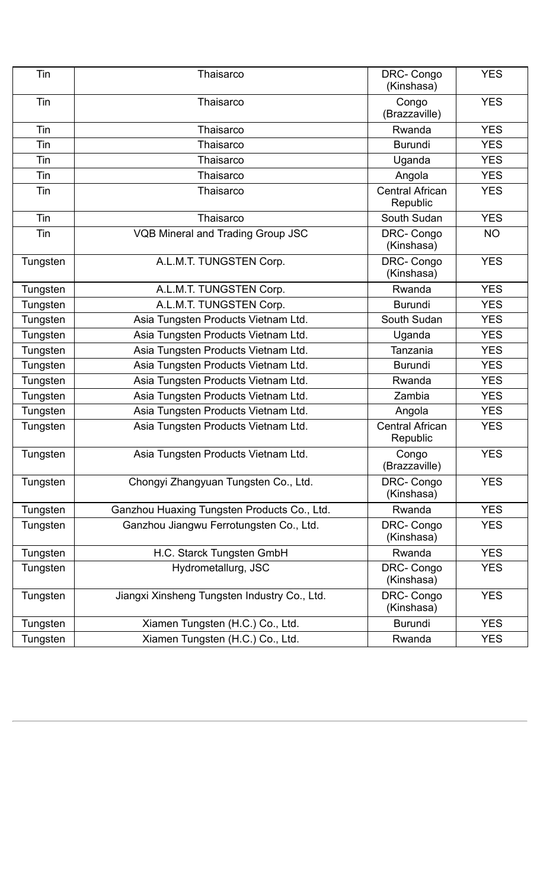| Tin      | Thaisarco                                    | DRC-Congo<br>(Kinshasa)            | <b>YES</b> |
|----------|----------------------------------------------|------------------------------------|------------|
| Tin      | Thaisarco                                    | Congo<br>(Brazzaville)             | <b>YES</b> |
| Tin      | Thaisarco                                    | Rwanda                             | <b>YES</b> |
| Tin      | Thaisarco                                    | <b>Burundi</b>                     | <b>YES</b> |
| Tin      | Thaisarco                                    | Uganda                             | <b>YES</b> |
| Tin      | Thaisarco                                    | Angola                             | <b>YES</b> |
| Tin      | Thaisarco                                    | <b>Central African</b><br>Republic | <b>YES</b> |
| Tin      | Thaisarco                                    | South Sudan                        | <b>YES</b> |
| Tin      | <b>VQB Mineral and Trading Group JSC</b>     | DRC-Congo<br>(Kinshasa)            | <b>NO</b>  |
| Tungsten | A.L.M.T. TUNGSTEN Corp.                      | DRC-Congo<br>(Kinshasa)            | <b>YES</b> |
| Tungsten | A.L.M.T. TUNGSTEN Corp.                      | Rwanda                             | <b>YES</b> |
| Tungsten | A.L.M.T. TUNGSTEN Corp.                      | <b>Burundi</b>                     | <b>YES</b> |
| Tungsten | Asia Tungsten Products Vietnam Ltd.          | South Sudan                        | <b>YES</b> |
| Tungsten | Asia Tungsten Products Vietnam Ltd.          | Uganda                             | <b>YES</b> |
| Tungsten | Asia Tungsten Products Vietnam Ltd.          | Tanzania                           | <b>YES</b> |
| Tungsten | Asia Tungsten Products Vietnam Ltd.          | <b>Burundi</b>                     | <b>YES</b> |
| Tungsten | Asia Tungsten Products Vietnam Ltd.          | Rwanda                             | <b>YES</b> |
| Tungsten | Asia Tungsten Products Vietnam Ltd.          | Zambia                             | <b>YES</b> |
| Tungsten | Asia Tungsten Products Vietnam Ltd.          | Angola                             | <b>YES</b> |
| Tungsten | Asia Tungsten Products Vietnam Ltd.          | <b>Central African</b><br>Republic | <b>YES</b> |
| Tungsten | Asia Tungsten Products Vietnam Ltd.          | Congo<br>(Brazzaville)             | <b>YES</b> |
| Tungsten | Chongyi Zhangyuan Tungsten Co., Ltd.         | DRC-Congo<br>(Kinshasa)            | <b>YES</b> |
| Tungsten | Ganzhou Huaxing Tungsten Products Co., Ltd.  | Rwanda                             | <b>YES</b> |
| Tungsten | Ganzhou Jiangwu Ferrotungsten Co., Ltd.      | DRC-Congo<br>(Kinshasa)            | <b>YES</b> |
| Tungsten | H.C. Starck Tungsten GmbH                    | Rwanda                             | <b>YES</b> |
| Tungsten | Hydrometallurg, JSC                          | DRC-Congo<br>(Kinshasa)            | <b>YES</b> |
| Tungsten | Jiangxi Xinsheng Tungsten Industry Co., Ltd. | DRC-Congo<br>(Kinshasa)            | <b>YES</b> |
| Tungsten | Xiamen Tungsten (H.C.) Co., Ltd.             | <b>Burundi</b>                     | <b>YES</b> |
| Tungsten | Xiamen Tungsten (H.C.) Co., Ltd.             | Rwanda                             | <b>YES</b> |